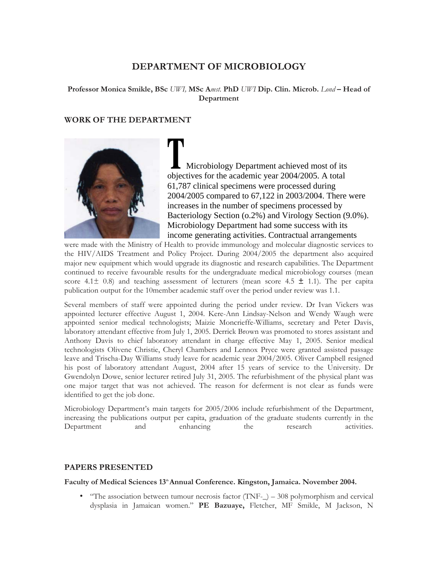# **DEPARTMENT OF MICROBIOLOGY**

**Professor Monica Smikle, BSc** *UWI,* **MSc A***mst.* **PhD** *UWI* **Dip. Clin. Microb.** *Lond* **– Head of Department** 

## **WORK OF THE DEPARTMENT**



 Microbiology Department achieved most of its objectives for the academic year 2004/2005. A total 61,787 clinical specimens were processed during 2004/2005 compared to 67,122 in 2003/2004. There were increases in the number of specimens processed by Bacteriology Section (o.2%) and Virology Section (9.0%). Microbiology Department had some success with its income generating activities. Contractual arrangements

were made with the Ministry of Health to provide immunology and molecular diagnostic services to the HIV/AIDS Treatment and Policy Project. During 2004/2005 the department also acquired major new equipment which would upgrade its diagnostic and research capabilities. The Department continued to receive favourable results for the undergraduate medical microbiology courses (mean score  $4.1 \pm 0.8$ ) and teaching assessment of lecturers (mean score  $4.5 \pm 1.1$ ). The per capita publication output for the 10member academic staff over the period under review was 1.1.

Several members of staff were appointed during the period under review. Dr Ivan Vickers was appointed lecturer effective August 1, 2004. Kere-Ann Lindsay-Nelson and Wendy Waugh were appointed senior medical technologists; Maizie Moncrieffe-Williams, secretary and Peter Davis, laboratory attendant effective from July 1, 2005. Derrick Brown was promoted to stores assistant and Anthony Davis to chief laboratory attendant in charge effective May 1, 2005. Senior medical technologists Olivene Christie, Cheryl Chambers and Lennox Pryce were granted assisted passage leave and Trischa-Day Williams study leave for academic year 2004/2005. Oliver Campbell resigned his post of laboratory attendant August, 2004 after 15 years of service to the University. Dr Gwendolyn Dowe, senior lecturer retired July 31, 2005. The refurbishment of the physical plant was one major target that was not achieved. The reason for deferment is not clear as funds were identified to get the job done.

Microbiology Department's main targets for 2005/2006 include refurbishment of the Department, increasing the publications output per capita, graduation of the graduate students currently in the Department and enhancing the research activities.

#### **PAPERS PRESENTED**

#### Faculty of Medical Sciences 13<sup>th</sup> Annual Conference. Kingston, Jamaica. November 2004.

• "The association between tumour necrosis factor (TNF-\_) – 308 polymorphism and cervical dysplasia in Jamaican women." **PE Bazuaye,** Fletcher, MF Smikle, M Jackson, N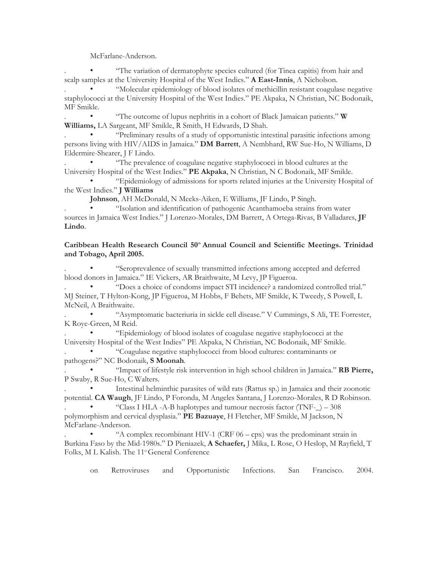McFarlane-Anderson.

. • "The variation of dermatophyte species cultured (for Tinea capitis) from hair and scalp samples at the University Hospital of the West Indies." **A East-Innis**, A Nicholson.

. • "Molecular epidemiology of blood isolates of methicillin resistant coagulase negative staphylococci at the University Hospital of the West Indies." PE Akpaka, N Christian, NC Bodonaik, MF Smikle.

. • "The outcome of lupus nephritis in a cohort of Black Jamaican patients." **W Williams,** LA Sargeant, MF Smikle, R Smith, H Edwards, D Shah.

. • "Preliminary results of a study of opportunistic intestinal parasitic infections among persons living with HIV/AIDS in Jamaica." **DM Barrett**, A Nembhard, RW Sue-Ho, N Williams, D Eldermire-Shearer, J F Lindo.

. • "The prevalence of coagulase negative staphylococci in blood cultures at the University Hospital of the West Indies." **PE Akpaka**, N Christian, N C Bodonaik, MF Smikle.

• "Epidemiology of admissions for sports related injuries at the University Hospital of the West Indies." **J Williams**

**Johnson**, AH McDonald, N Meeks-Aiken, E Williams, JF Lindo, P Singh.

. • "Isolation and identification of pathogenic Acanthamoeba strains from water sources in Jamaica West Indies." J Lorenzo-Morales, DM Barrett, A Ortega-Rivas, B Valladares, **JF Lindo**.

### Caribbean Health Research Council 50<sup>th</sup> Annual Council and Scientific Meetings. Trinidad **and Tobago, April 2005.**

. • "Seroprevalence of sexually transmitted infections among accepted and deferred blood donors in Jamaica." IE Vickers, AR Braithwaite, M Levy, JP Figueroa.

. • "Does a choice of condoms impact STI incidence? a randomized controlled trial." MJ Steiner, T Hylton-Kong, JP Figueroa, M Hobbs, F Behets, MF Smikle, K Tweedy, S Powell, L McNeil, A Braithwaite.

. • "Asymptomatic bacteriuria in sickle cell disease." V Cummings, S Ali, TE Forrester, K Roye-Green, M Reid.

. • "Epidemiology of blood isolates of coagulase negative staphylococci at the University Hospital of the West Indies" PE Akpaka, N Christian, NC Bodonaik, MF Smikle. . • "Coagulase negative staphylococci from blood cultures: contaminants or

pathogens?" NC Bodonaik, **S Moonah**.

. • "Impact of lifestyle risk intervention in high school children in Jamaica." **RB Pierre,**  P Swaby, R Sue-Ho, C Walters.

. • Intestinal helminthic parasites of wild rats (Rattus sp.) in Jamaica and their zoonotic potential. **CA Waugh**, JF Lindo, P Foronda, M Angeles Santana, J Lorenzo-Morales, R D Robinson.

"Class I HLA -A-B haplotypes and tumour necrosis factor  $(TNF_{-}) - 308$ polymorphism and cervical dysplasia." **PE Bazuaye**, H Fletcher, MF Smikle, M Jackson, N McFarlane-Anderson.

"A complex recombinant HIV-1 (CRF  $06 - \text{cpx}$ ) was the predominant strain in Burkina Faso by the Mid-1980s." D Pieniazek, **A Schaefer,** J Mika, L Rose, O Heslop, M Rayfield, T Folks, M L Kalish. The 11<sup>th</sup> General Conference

on Retroviruses and Opportunistic Infections. San Francisco. 2004.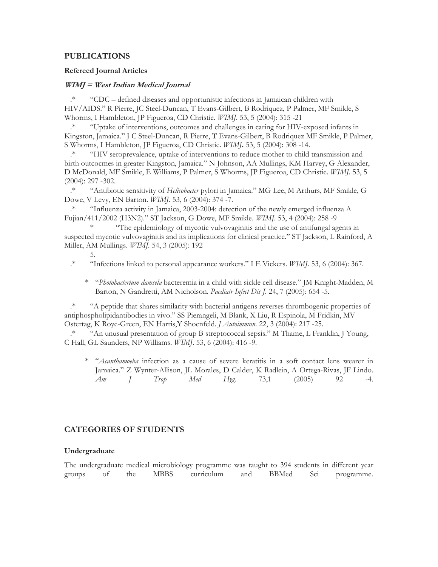### **PUBLICATIONS**

#### **Refereed Journal Articles**

#### **WIMJ = West Indian Medical Journal**

.\* "CDC – defined diseases and opportunistic infections in Jamaican children with HIV/AIDS." R Pierre, JC Steel-Duncan, T Evans-Gilbert, B Rodriquez, P Palmer, MF Smikle, S Whorms, I Hambleton, JP Figueroa, CD Christie. *WIMJ.* 53, 5 (2004): 315 -21

.\* "Uptake of interventions, outcomes and challenges in caring for HIV-exposed infants in Kingston, Jamaica." J C Steel-Duncan, R Pierre, T Evans-Gilbert, B Rodriquez MF Smikle, P Palmer, S Whorms, I Hambleton, JP Figueroa, CD Christie. *WIMJ***.** 53, 5 (2004): 308 -14.

.\* "HIV seroprevalence, uptake of interventions to reduce mother to child transmission and birth outcocmes in greater Kingston, Jamaica." N Johnson, AA Mullings, KM Harvey, G Alexander, D McDonald, MF Smikle, E Williams, P Palmer, S Whorms, JP Figueroa, CD Christie. *WIMJ.* 53, 5 (2004): 297 -302.

.\* "Antibiotic sensitivity of *Helicobacter* pylori in Jamaica." MG Lee, M Arthurs, MF Smikle, G Dowe, V Levy, EN Barton. *WIMJ.* 53, 6 (2004): 374 -7.

.\* "Influenza activity in Jamaica, 2003-2004: detection of the newly emerged influenza A Fujian/411/2002 (H3N2)." ST Jackson, G Dowe, MF Smikle. *WIMJ.* 53, 4 (2004): 258 -9

\* "The epidemiology of mycotic vulvovaginitis and the use of antifungal agents in suspected mycotic vulvovaginitis and its implications for clinical practice." ST Jackson, L Rainford, A Miller, AM Mullings. *WIMJ.* 54, 3 (2005): 192

5.

- .\* "Infections linked to personal appearance workers." I E Vickers. *WIMJ.* 53, 6 (2004): 367.
	- \* "*Photobacterium damsela* bacteremia in a child with sickle cell disease." JM Knight-Madden, M Barton, N Gandretti, AM Nicholson. *Paediatr Infect Dis J.* 24, 7 (2005): 654 -5.

.\* "A peptide that shares similarity with bacterial antigens reverses thrombogenic properties of antiphospholipidantibodies in vivo." SS Pierangeli, M Blank, X Liu, R Espinola, M Fridkin, MV Ostertag, K Roye-Green, EN Harris,Y Shoenfeld. *J Autoimmun*. 22, 3 (2004): 217 -25.

.\* "An unusual presentation of group B streptococcal sepsis." M Thame, L Franklin, J Young, C Hall, GL Saunders, NP Williams. *WIMJ*. 53, 6 (2004): 416 -9.

\* "*Acanthamoeba* infection as a cause of severe keratitis in a soft contact lens wearer in Jamaica." Z Wynter-Allison, JL Morales, D Calder, K Radlein, A Ortega-Rivas, JF Lindo. *Am J Trop Med Hyg*. 73,1 (2005) 92 -4.

## **CATEGORIES OF STUDENTS**

#### **Undergraduate**

The undergraduate medical microbiology programme was taught to 394 students in different year groups of the MBBS curriculum and BBMed Sci programme.